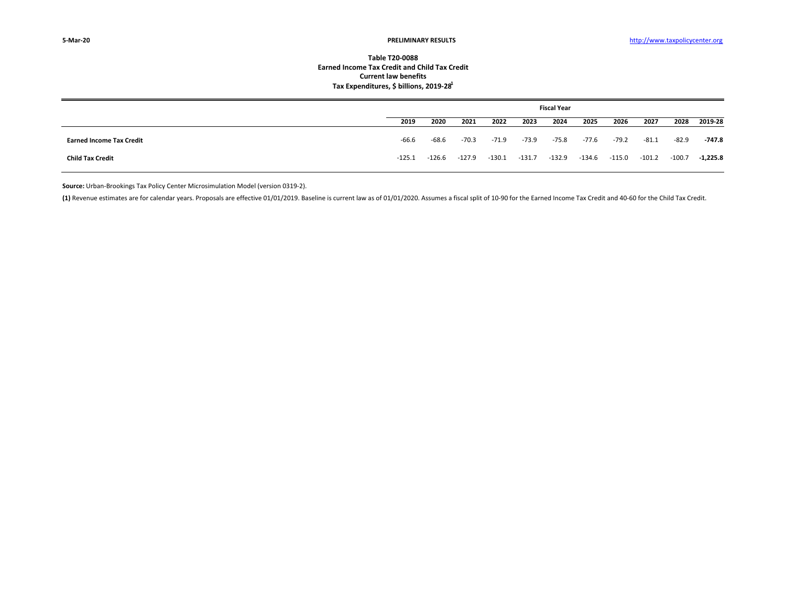## **Table T20‐0088Earned Income Tax Credit and Child Tax Credit Current law benefits Tax Expenditures, \$ billions, 2019‐281**

|                                 | <b>Fiscal Year</b> |        |         |          |          |         |        |         |          |          |          |
|---------------------------------|--------------------|--------|---------|----------|----------|---------|--------|---------|----------|----------|----------|
|                                 | 2019               | 2020   | 2021    | 2022     | 2023     | 2024    | 2025   | 2026    | 2027     | 2028     | 2019-28  |
| <b>Earned Income Tax Credit</b> | $-66.6$            | -68.6  | $-70.3$ | $-71.9$  | $-73.9$  | $-75.8$ | -77.6  | $-79.2$ | $-81.1$  | $-82.9$  | -747.8   |
| <b>Child Tax Credit</b>         | $-125.1$           | -126.6 | -127.9  | $-130.1$ | $-131.7$ | -132.9  | -134.6 | -115.0  | $-101.2$ | $-100.7$ | -1,225.8 |

**Source:** Urban‐Brookings Tax Policy Center Microsimulation Model (version 0319‐2).

(1) Revenue estimates are for calendar years. Proposals are effective 01/01/2019. Baseline is current law as of 01/01/2020. Assumes a fiscal split of 10-90 for the Earned Income Tax Credit and 40-60 for the Child Tax Credi